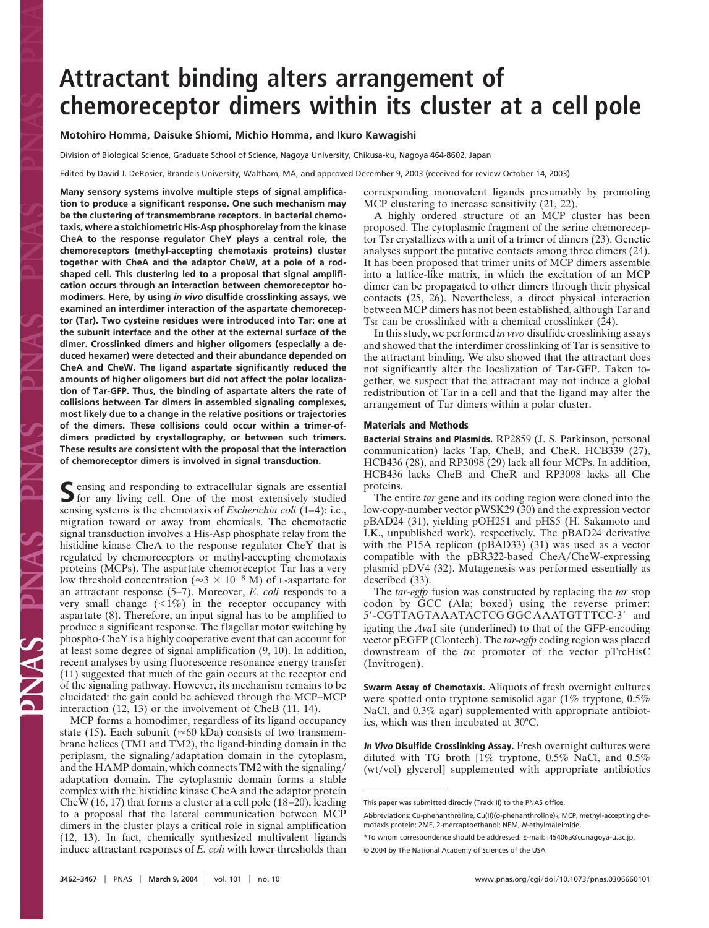# **Attractant binding alters arrangement of chemoreceptor dimers within its cluster at a cell pole**

## **Motohiro Homma, Daisuke Shiomi, Michio Homma, and Ikuro Kawagishi**

Division of Biological Science, Graduate School of Science, Nagoya University, Chikusa-ku, Nagoya 464-8602, Japan

Edited by David J. DeRosier, Brandeis University, Waltham, MA, and approved December 9, 2003 (received for review October 14, 2003)

**Many sensory systems involve multiple steps of signal amplification to produce a significant response. One such mechanism may be the clustering of transmembrane receptors. In bacterial chemotaxis, where a stoichiometric His-Asp phosphorelay from the kinase CheA to the response regulator CheY plays a central role, the chemoreceptors (methyl-accepting chemotaxis proteins) cluster together with CheA and the adaptor CheW, at a pole of a rodshaped cell. This clustering led to a proposal that signal amplification occurs through an interaction between chemoreceptor homodimers. Here, by using** *in vivo* **disulfide crosslinking assays, we examined an interdimer interaction of the aspartate chemoreceptor (Tar). Two cysteine residues were introduced into Tar: one at the subunit interface and the other at the external surface of the dimer. Crosslinked dimers and higher oligomers (especially a deduced hexamer) were detected and their abundance depended on CheA and CheW. The ligand aspartate significantly reduced the amounts of higher oligomers but did not affect the polar localization of Tar-GFP. Thus, the binding of aspartate alters the rate of collisions between Tar dimers in assembled signaling complexes, most likely due to a change in the relative positions or trajectories of the dimers. These collisions could occur within a trimer-ofdimers predicted by crystallography, or between such trimers. These results are consistent with the proposal that the interaction of chemoreceptor dimers is involved in signal transduction.**

Sensing and responding to extracellular signals are essential for any living cell. One of the most extensively studied sensing systems is the chemotaxis of *Escherichia coli* (1–4); i.e., migration toward or away from chemicals. The chemotactic signal transduction involves a His-Asp phosphate relay from the histidine kinase CheA to the response regulator CheY that is regulated by chemoreceptors or methyl-accepting chemotaxis proteins (MCPs). The aspartate chemoreceptor Tar has a very low threshold concentration ( $\approx 3 \times 10^{-8}$  M) of L-aspartate for an attractant response (5–7). Moreover, *E. coli* responds to a very small change  $(\leq 1\%)$  in the receptor occupancy with aspartate (8). Therefore, an input signal has to be amplified to produce a significant response. The flagellar motor switching by phospho-CheY is a highly cooperative event that can account for at least some degree of signal amplification (9, 10). In addition, recent analyses by using fluorescence resonance energy transfer (11) suggested that much of the gain occurs at the receptor end of the signaling pathway. However, its mechanism remains to be elucidated: the gain could be achieved through the MCP–MCP interaction (12, 13) or the involvement of CheB (11, 14).

MCP forms a homodimer, regardless of its ligand occupancy state (15). Each subunit ( $\approx 60$  kDa) consists of two transmembrane helices (TM1 and TM2), the ligand-binding domain in the periplasm, the signaling/adaptation domain in the cytoplasm, and the HAMP domain, which connects TM2 with the signaling adaptation domain. The cytoplasmic domain forms a stable complex with the histidine kinase CheA and the adaptor protein CheW (16, 17) that forms a cluster at a cell pole (18–20), leading to a proposal that the lateral communication between MCP dimers in the cluster plays a critical role in signal amplification (12, 13). In fact, chemically synthesized multivalent ligands induce attractant responses of *E. coli* with lower thresholds than

corresponding monovalent ligands presumably by promoting MCP clustering to increase sensitivity (21, 22).

A highly ordered structure of an MCP cluster has been proposed. The cytoplasmic fragment of the serine chemoreceptor Tsr crystallizes with a unit of a trimer of dimers (23). Genetic analyses support the putative contacts among three dimers (24). It has been proposed that trimer units of MCP dimers assemble into a lattice-like matrix, in which the excitation of an MCP dimer can be propagated to other dimers through their physical contacts (25, 26). Nevertheless, a direct physical interaction between MCP dimers has not been established, although Tar and Tsr can be crosslinked with a chemical crosslinker (24).

In this study, we performed *in vivo* disulfide crosslinking assays and showed that the interdimer crosslinking of Tar is sensitive to the attractant binding. We also showed that the attractant does not significantly alter the localization of Tar-GFP. Taken together, we suspect that the attractant may not induce a global redistribution of Tar in a cell and that the ligand may alter the arrangement of Tar dimers within a polar cluster.

### **Materials and Methods**

**Bacterial Strains and Plasmids.** RP2859 (J. S. Parkinson, personal communication) lacks Tap, CheB, and CheR. HCB339 (27), HCB436 (28), and RP3098 (29) lack all four MCPs. In addition, HCB436 lacks CheB and CheR and RP3098 lacks all Che proteins.

The entire *tar* gene and its coding region were cloned into the low-copy-number vector pWSK29 (30) and the expression vector pBAD24 (31), yielding pOH251 and pHS5 (H. Sakamoto and I.K., unpublished work), respectively. The pBAD24 derivative with the P15A replicon (pBAD33) (31) was used as a vector compatible with the pBR322-based CheA/CheW-expressing plasmid pDV4 (32). Mutagenesis was performed essentially as described (33).

The *tar-egfp* fusion was constructed by replacing the *tar* stop codon by GCC (Ala; boxed) using the reverse primer: 5'-CGTTAGTAAATACTCG GGC AAATGTTTCC-3' and igating the *Ava*I site (underlined) to that of the GFP-encoding vector pEGFP (Clontech). The *tar-egfp* coding region was placed downstream of the *trc* promoter of the vector pTrcHisC (Invitrogen).

**Swarm Assay of Chemotaxis.** Aliquots of fresh overnight cultures were spotted onto tryptone semisolid agar (1% tryptone, 0.5% NaCl, and  $0.3\%$  agar) supplemented with appropriate antibiotics, which was then incubated at 30°C.

**In Vivo Disulfide Crosslinking Assay.** Fresh overnight cultures were diluted with TG broth  $1\%$  tryptone, 0.5% NaCl, and 0.5%  $(wt/vol)$  glyceroll supplemented with appropriate antibiotics

This paper was submitted directly (Track II) to the PNAS office.

Abbreviations: Cu-phenanthroline, Cu(II)(o-phenanthroline)<sub>3</sub>; MCP, methyl-accepting chemotaxis protein; 2ME, 2-mercaptoethanol; NEM, *N*-ethylmaleimide.

<sup>\*</sup>To whom correspondence should be addressed. E-mail: i45406a@cc.nagoya-u.ac.jp. © 2004 by The National Academy of Sciences of the USA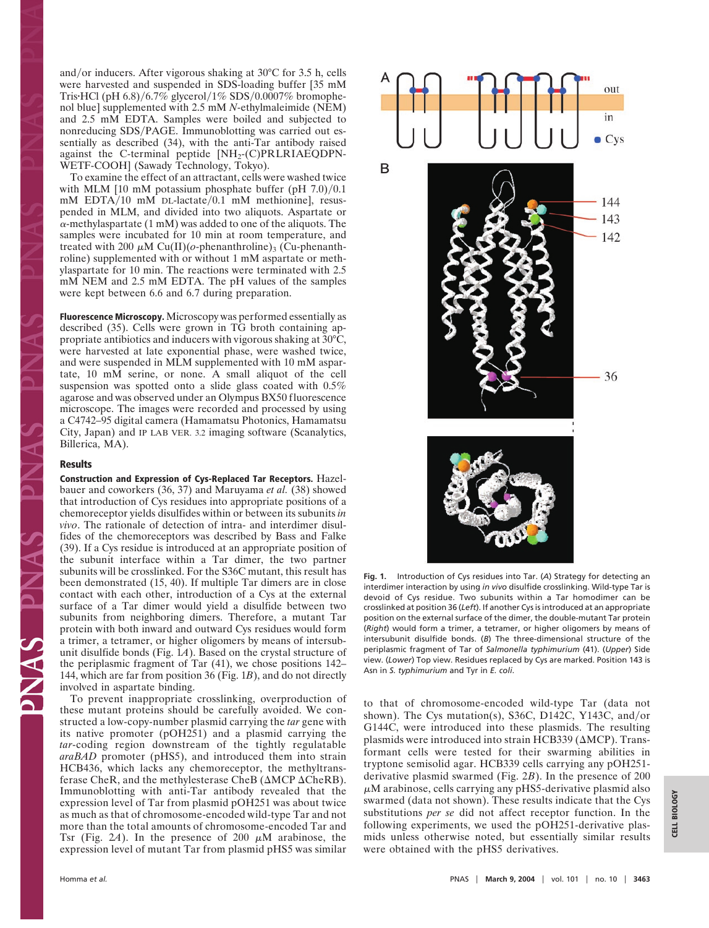and/or inducers. After vigorous shaking at  $30^{\circ}$ C for 3.5 h, cells were harvested and suspended in SDS-loading buffer [35 mM Tris•HCl (pH  $6.8$ )/ $6.7\%$  glycerol/1% SDS/0.0007% bromophenol blue] supplemented with 2.5 mM *N*-ethylmaleimide (NEM) and 2.5 mM EDTA. Samples were boiled and subjected to nonreducing SDS/PAGE. Immunoblotting was carried out essentially as described (34), with the anti-Tar antibody raised against the C-terminal peptide [NH2-(C)PRLRIAEQDPN-WETF-COOH] (Sawady Technology, Tokyo).

To examine the effect of an attractant, cells were washed twice with MLM  $[10 \text{ mM potassium phosphate buffer (pH } 7.0)/0.1]$  $mM$  EDTA/10 mM DL-lactate/0.1 mM methionine], resuspended in MLM, and divided into two aliquots. Aspartate or  $\alpha$ -methylaspartate (1 mM) was added to one of the aliquots. The samples were incubated for 10 min at room temperature, and treated with 200  $\mu$ M Cu(II)( $o$ -phenanthroline)<sub>3</sub> (Cu-phenanthroline) supplemented with or without 1 mM aspartate or methylaspartate for 10 min. The reactions were terminated with 2.5 mM NEM and 2.5 mM EDTA. The pH values of the samples were kept between 6.6 and 6.7 during preparation.

**Fluorescence Microscopy.** Microscopy was performed essentially as described (35). Cells were grown in TG broth containing appropriate antibiotics and inducers with vigorous shaking at 30°C, were harvested at late exponential phase, were washed twice, and were suspended in MLM supplemented with 10 mM aspartate, 10 mM serine, or none. A small aliquot of the cell suspension was spotted onto a slide glass coated with 0.5% agarose and was observed under an Olympus BX50 fluorescence microscope. The images were recorded and processed by using a C4742–95 digital camera (Hamamatsu Photonics, Hamamatsu City, Japan) and IP LAB VER. 3.2 imaging software (Scanalytics, Billerica, MA).

### **Results**

**Construction and Expression of Cys-Replaced Tar Receptors.** Hazelbauer and coworkers (36, 37) and Maruyama *et al.* (38) showed that introduction of Cys residues into appropriate positions of a chemoreceptor yields disulfides within or between its subunits *in vivo*. The rationale of detection of intra- and interdimer disulfides of the chemoreceptors was described by Bass and Falke (39). If a Cys residue is introduced at an appropriate position of the subunit interface within a Tar dimer, the two partner subunits will be crosslinked. For the S36C mutant, this result has been demonstrated (15, 40). If multiple Tar dimers are in close contact with each other, introduction of a Cys at the external surface of a Tar dimer would yield a disulfide between two subunits from neighboring dimers. Therefore, a mutant Tar protein with both inward and outward Cys residues would form a trimer, a tetramer, or higher oligomers by means of intersubunit disulfide bonds (Fig. 1*A*). Based on the crystal structure of the periplasmic fragment of Tar (41), we chose positions 142– 144, which are far from position 36 (Fig. 1*B*), and do not directly involved in aspartate binding.

To prevent inappropriate crosslinking, overproduction of these mutant proteins should be carefully avoided. We constructed a low-copy-number plasmid carrying the *tar* gene with its native promoter (pOH251) and a plasmid carrying the *tar*-coding region downstream of the tightly regulatable *araBAD* promoter (pHS5), and introduced them into strain HCB436, which lacks any chemoreceptor, the methyltransferase CheR, and the methylesterase CheB ( $\triangle MCP \triangle CheRB$ ). Immunoblotting with anti-Tar antibody revealed that the expression level of Tar from plasmid pOH251 was about twice as much as that of chromosome-encoded wild-type Tar and not more than the total amounts of chromosome-encoded Tar and Tsr (Fig. 2A). In the presence of 200  $\mu$ M arabinose, the expression level of mutant Tar from plasmid pHS5 was similar



**Fig. 1.** Introduction of Cys residues into Tar. (*A*) Strategy for detecting an interdimer interaction by using *in vivo* disulfide crosslinking. Wild-type Tar is devoid of Cys residue. Two subunits within a Tar homodimer can be crosslinked at position 36 (*Left*). If another Cys is introduced at an appropriate position on the external surface of the dimer, the double-mutant Tar protein (*Right*) would form a trimer, a tetramer, or higher oligomers by means of intersubunit disulfide bonds. (*B*) The three-dimensional structure of the periplasmic fragment of Tar of *Salmonella typhimurium* (41). (*Upper*) Side view. (*Lower*) Top view. Residues replaced by Cys are marked. Position 143 is Asn in *S. typhimurium* and Tyr in *E. coli*.

to that of chromosome-encoded wild-type Tar (data not shown). The Cys mutation(s), S36C, D142C, Y143C, and/or G144C, were introduced into these plasmids. The resulting plasmids were introduced into strain HCB339 ( $\triangle MCP$ ). Transformant cells were tested for their swarming abilities in tryptone semisolid agar. HCB339 cells carrying any pOH251 derivative plasmid swarmed (Fig. 2*B*). In the presence of 200  $\mu$ M arabinose, cells carrying any pHS5-derivative plasmid also swarmed (data not shown). These results indicate that the Cys substitutions *per se* did not affect receptor function. In the following experiments, we used the pOH251-derivative plasmids unless otherwise noted, but essentially similar results were obtained with the pHS5 derivatives.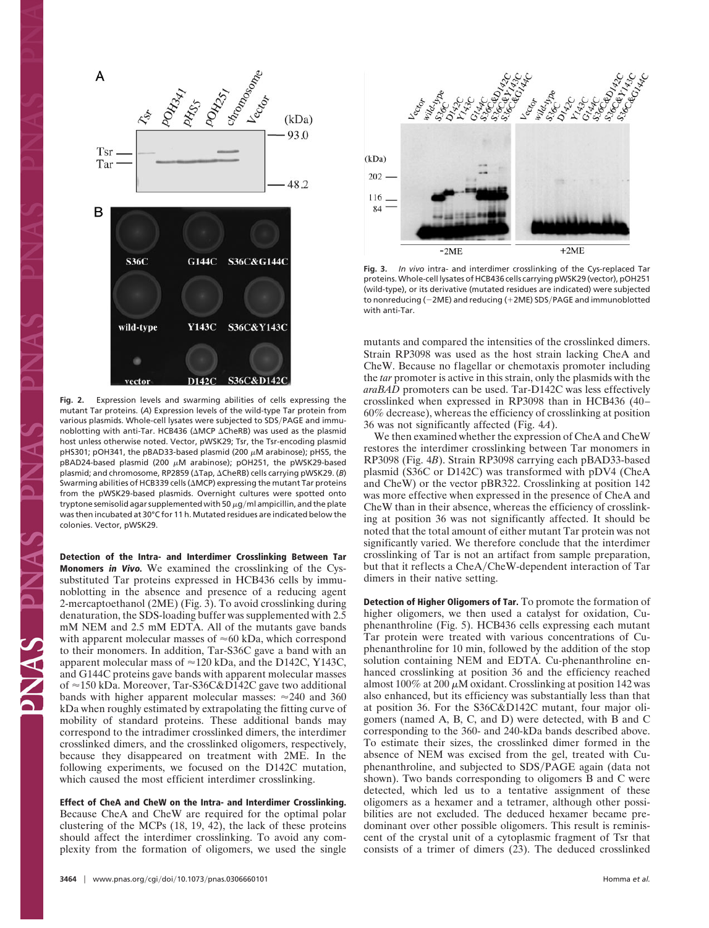

**Fig. 2.** Expression levels and swarming abilities of cells expressing the mutant Tar proteins. (*A*) Expression levels of the wild-type Tar protein from various plasmids. Whole-cell lysates were subjected to SDS/PAGE and immunoblotting with anti-Tar. HCB436 (AMCP ACheRB) was used as the plasmid host unless otherwise noted. Vector, pWSK29; Tsr, the Tsr-encoding plasmid pHS301; pOH341, the pBAD33-based plasmid (200  $\mu$ M arabinose); pHS5, the pBAD24-based plasmid (200  $\mu$ M arabinose); pOH251, the pWSK29-based plasmid; and chromosome, RP2859 (ΔTap, ΔCheRB) cells carrying pWSK29. (*B*) Swarming abilities of HCB339 cells ( $\triangle MCP$ ) expressing the mutant Tar proteins from the pWSK29-based plasmids. Overnight cultures were spotted onto tryptone semisolid agar supplemented with 50  $\mu$ g/ml ampicillin, and the plate was then incubated at 30°C for 11 h. Mutated residues are indicated below the colonies. Vector, pWSK29.

**Detection of the Intra- and Interdimer Crosslinking Between Tar Monomers in Vivo.** We examined the crosslinking of the Cyssubstituted Tar proteins expressed in HCB436 cells by immunoblotting in the absence and presence of a reducing agent 2-mercaptoethanol (2ME) (Fig. 3). To avoid crosslinking during denaturation, the SDS-loading buffer was supplemented with 2.5 mM NEM and 2.5 mM EDTA. All of the mutants gave bands with apparent molecular masses of  $\approx 60$  kDa, which correspond to their monomers. In addition, Tar-S36C gave a band with an apparent molecular mass of  $\approx$  120 kDa, and the D142C, Y143C, and G144C proteins gave bands with apparent molecular masses of  $\approx$  150 kDa. Moreover, Tar-S36C&D142C gave two additional bands with higher apparent molecular masses:  $\approx$  240 and 360 kDa when roughly estimated by extrapolating the fitting curve of mobility of standard proteins. These additional bands may correspond to the intradimer crosslinked dimers, the interdimer crosslinked dimers, and the crosslinked oligomers, respectively, because they disappeared on treatment with 2ME. In the following experiments, we focused on the D142C mutation, which caused the most efficient interdimer crosslinking.

**Effect of CheA and CheW on the Intra- and Interdimer Crosslinking.** Because CheA and CheW are required for the optimal polar clustering of the MCPs (18, 19, 42), the lack of these proteins should affect the interdimer crosslinking. To avoid any complexity from the formation of oligomers, we used the single



**Fig. 3.** *In vivo* intra- and interdimer crosslinking of the Cys-replaced Tar proteins. Whole-cell lysates of HCB436 cells carrying pWSK29 (vector), pOH251 (wild-type), or its derivative (mutated residues are indicated) were subjected to nonreducing (-2ME) and reducing (+2ME) SDS/PAGE and immunoblotted with anti-Tar.

mutants and compared the intensities of the crosslinked dimers. Strain RP3098 was used as the host strain lacking CheA and CheW. Because no flagellar or chemotaxis promoter including the *tar* promoter is active in this strain, only the plasmids with the *araBAD* promoters can be used. Tar-D142C was less effectively crosslinked when expressed in RP3098 than in HCB436 (40– 60% decrease), whereas the efficiency of crosslinking at position 36 was not significantly affected (Fig. 4*A*).

We then examined whether the expression of CheA and CheW restores the interdimer crosslinking between Tar monomers in RP3098 (Fig. 4*B*). Strain RP3098 carrying each pBAD33-based plasmid (S36C or D142C) was transformed with pDV4 (CheA and CheW) or the vector pBR322. Crosslinking at position 142 was more effective when expressed in the presence of CheA and CheW than in their absence, whereas the efficiency of crosslinking at position 36 was not significantly affected. It should be noted that the total amount of either mutant Tar protein was not significantly varied. We therefore conclude that the interdimer crosslinking of Tar is not an artifact from sample preparation, but that it reflects a CheA/CheW-dependent interaction of Tar dimers in their native setting.

**Detection of Higher Oligomers of Tar.** To promote the formation of higher oligomers, we then used a catalyst for oxidation, Cuphenanthroline (Fig. 5). HCB436 cells expressing each mutant Tar protein were treated with various concentrations of Cuphenanthroline for 10 min, followed by the addition of the stop solution containing NEM and EDTA. Cu-phenanthroline enhanced crosslinking at position 36 and the efficiency reached almost 100% at 200  $\mu$ M oxidant. Crosslinking at position 142 was also enhanced, but its efficiency was substantially less than that at position 36. For the S36C&D142C mutant, four major oligomers (named A, B, C, and D) were detected, with B and C corresponding to the 360- and 240-kDa bands described above. To estimate their sizes, the crosslinked dimer formed in the absence of NEM was excised from the gel, treated with Cuphenanthroline, and subjected to SDS/PAGE again (data not shown). Two bands corresponding to oligomers B and C were detected, which led us to a tentative assignment of these oligomers as a hexamer and a tetramer, although other possibilities are not excluded. The deduced hexamer became predominant over other possible oligomers. This result is reminiscent of the crystal unit of a cytoplasmic fragment of Tsr that consists of a trimer of dimers (23). The deduced crosslinked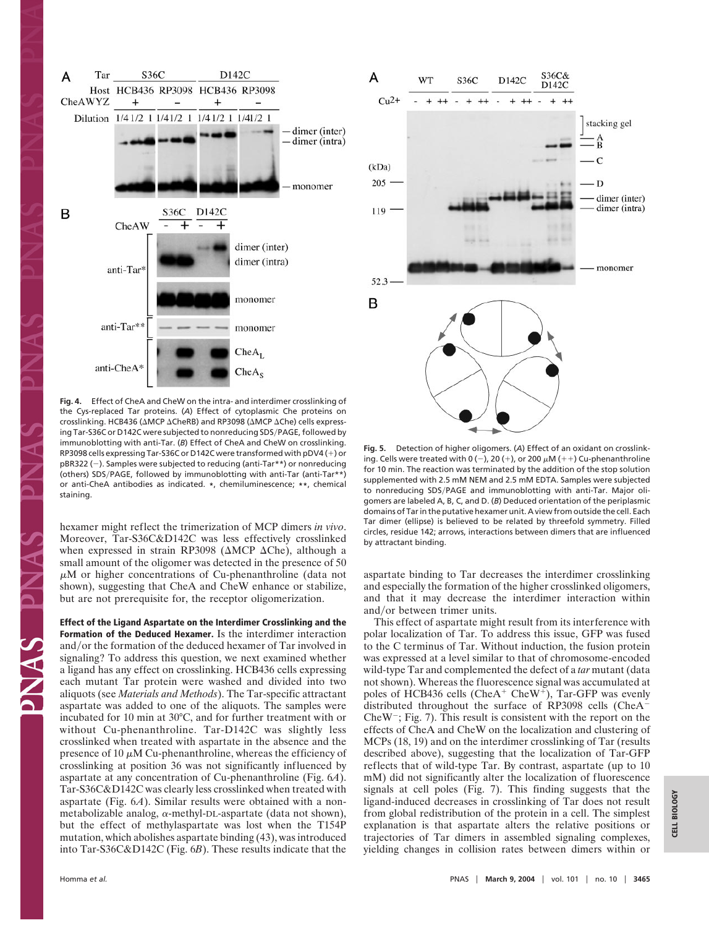

**Fig. 4.** Effect of CheA and CheW on the intra- and interdimer crosslinking of the Cys-replaced Tar proteins. (*A*) Effect of cytoplasmic Che proteins on crosslinking. HCB436 (AMCP ACheRB) and RP3098 (AMCP AChe) cells expressing Tar-S36C or D142C were subjected to nonreducing SDS/PAGE, followed by immunoblotting with anti-Tar. (*B*) Effect of CheA and CheW on crosslinking. RP3098 cells expressing Tar-S36C or D142C were transformed with pDV4 (+) or pBR322 (-). Samples were subjected to reducing (anti-Tar\*\*) or nonreducing (others) SDS/PAGE, followed by immunoblotting with anti-Tar (anti-Tar\*\*) or anti-CheA antibodies as indicated. **\***, chemiluminescence; **\*\***, chemical staining.

hexamer might reflect the trimerization of MCP dimers *in vivo*. Moreover, Tar-S36C&D142C was less effectively crosslinked when expressed in strain RP3098 ( $\triangle MCP \triangle C$ he), although a small amount of the oligomer was detected in the presence of 50  $\mu$ M or higher concentrations of Cu-phenanthroline (data not shown), suggesting that CheA and CheW enhance or stabilize, but are not prerequisite for, the receptor oligomerization.

**Effect of the Ligand Aspartate on the Interdimer Crosslinking and the Formation of the Deduced Hexamer.** Is the interdimer interaction and/or the formation of the deduced hexamer of Tar involved in signaling? To address this question, we next examined whether a ligand has any effect on crosslinking. HCB436 cells expressing each mutant Tar protein were washed and divided into two aliquots (see *Materials and Methods*). The Tar-specific attractant aspartate was added to one of the aliquots. The samples were incubated for 10 min at 30°C, and for further treatment with or without Cu-phenanthroline. Tar-D142C was slightly less crosslinked when treated with aspartate in the absence and the presence of 10  $\mu$ M Cu-phenanthroline, whereas the efficiency of crosslinking at position 36 was not significantly influenced by aspartate at any concentration of Cu-phenanthroline (Fig. 6*A*). Tar-S36C&D142C was clearly less crosslinked when treated with aspartate (Fig. 6*A*). Similar results were obtained with a nonmetabolizable analog,  $\alpha$ -methyl-DL-aspartate (data not shown), but the effect of methylaspartate was lost when the T154P mutation, which abolishes aspartate binding (43), was introduced into Tar-S36C&D142C (Fig. 6*B*). These results indicate that the



**Fig. 5.** Detection of higher oligomers. (*A*) Effect of an oxidant on crosslinking. Cells were treated with 0 (-), 20 (+), or 200  $\mu$ M (++) Cu-phenanthroline for 10 min. The reaction was terminated by the addition of the stop solution supplemented with 2.5 mM NEM and 2.5 mM EDTA. Samples were subjected to nonreducing SDS/PAGE and immunoblotting with anti-Tar. Major oligomers are labeled A, B, C, and D. (*B*) Deduced orientation of the periplasmic domains of Tar in the putative hexamer unit. A view from outside the cell. Each Tar dimer (ellipse) is believed to be related by threefold symmetry. Filled circles, residue 142; arrows, interactions between dimers that are influenced by attractant binding.

aspartate binding to Tar decreases the interdimer crosslinking and especially the formation of the higher crosslinked oligomers, and that it may decrease the interdimer interaction within and/or between trimer units.

This effect of aspartate might result from its interference with polar localization of Tar. To address this issue, GFP was fused to the C terminus of Tar. Without induction, the fusion protein was expressed at a level similar to that of chromosome-encoded wild-type Tar and complemented the defect of a *tar* mutant (data not shown). Whereas the fluorescence signal was accumulated at poles of HCB436 cells (CheA<sup>+</sup> CheW<sup>+</sup>), Tar-GFP was evenly distributed throughout the surface of RP3098 cells (CheA CheW<sup>-</sup>; Fig. 7). This result is consistent with the report on the effects of CheA and CheW on the localization and clustering of MCPs (18, 19) and on the interdimer crosslinking of Tar (results described above), suggesting that the localization of Tar-GFP reflects that of wild-type Tar. By contrast, aspartate (up to 10 mM) did not significantly alter the localization of fluorescence signals at cell poles (Fig. 7). This finding suggests that the ligand-induced decreases in crosslinking of Tar does not result from global redistribution of the protein in a cell. The simplest explanation is that aspartate alters the relative positions or trajectories of Tar dimers in assembled signaling complexes, yielding changes in collision rates between dimers within or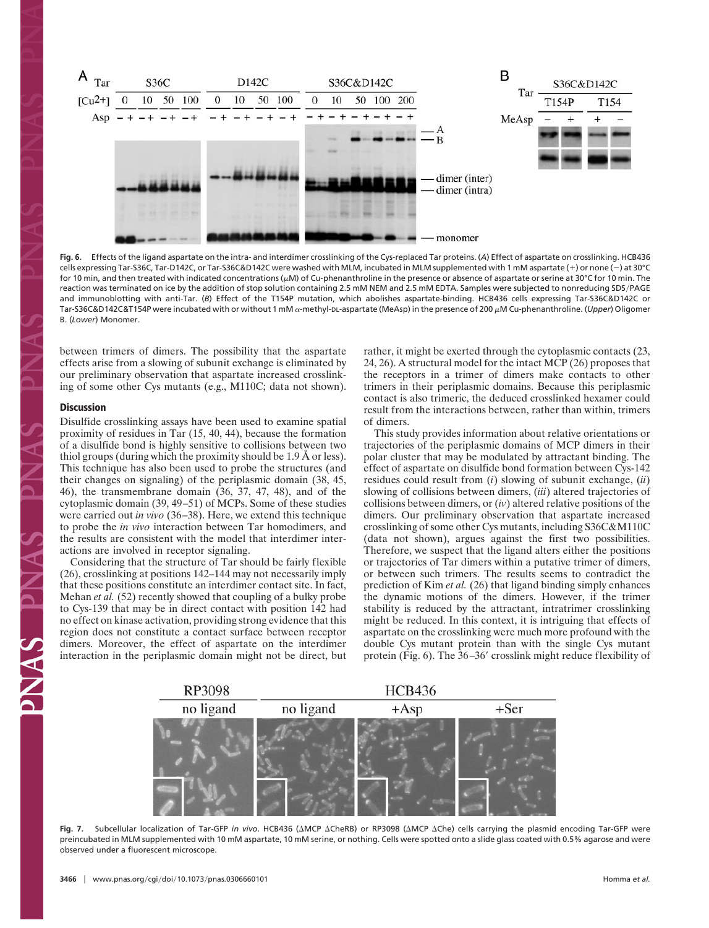

**Fig. 6.** Effects of the ligand aspartate on the intra- and interdimer crosslinking of the Cys-replaced Tar proteins. (*A*) Effect of aspartate on crosslinking. HCB436 cells expressing Tar-S36C, Tar-D142C, or Tar-S36C&D142C were washed with MLM, incubated in MLM supplemented with 1 mM aspartate (+) or none (-) at 30°C for 10 min, and then treated with indicated concentrations ( $\mu$ M) of Cu-phenanthroline in the presence or absence of aspartate or serine at 30°C for 10 min. The reaction was terminated on ice by the addition of stop solution containing 2.5 mM NEM and 2.5 mM EDTA. Samples were subjected to nonreducing SDSPAGE and immunoblotting with anti-Tar. (*B*) Effect of the T154P mutation, which abolishes aspartate-binding. HCB436 cells expressing Tar-S36C&D142C or Tar-S36C&D142C&T154P were incubated with or without 1 mM α-methyl-DL-aspartate (MeAsp) in the presence of 200 μM Cu-phenanthroline. (*Upper*) Oligomer B. (*Lower*) Monomer.

between trimers of dimers. The possibility that the aspartate effects arise from a slowing of subunit exchange is eliminated by our preliminary observation that aspartate increased crosslinking of some other Cys mutants (e.g., M110C; data not shown).

#### **Discussion**

Disulfide crosslinking assays have been used to examine spatial proximity of residues in Tar (15, 40, 44), because the formation of a disulfide bond is highly sensitive to collisions between two thiol groups (during which the proximity should be 1.9 Å or less). This technique has also been used to probe the structures (and their changes on signaling) of the periplasmic domain (38, 45, 46), the transmembrane domain (36, 37, 47, 48), and of the cytoplasmic domain (39, 49–51) of MCPs. Some of these studies were carried out *in vivo* (36–38). Here, we extend this technique to probe the *in vivo* interaction between Tar homodimers, and the results are consistent with the model that interdimer interactions are involved in receptor signaling.

Considering that the structure of Tar should be fairly flexible (26), crosslinking at positions 142–144 may not necessarily imply that these positions constitute an interdimer contact site. In fact, Mehan *et al.* (52) recently showed that coupling of a bulky probe to Cys-139 that may be in direct contact with position 142 had no effect on kinase activation, providing strong evidence that this region does not constitute a contact surface between receptor dimers. Moreover, the effect of aspartate on the interdimer interaction in the periplasmic domain might not be direct, but rather, it might be exerted through the cytoplasmic contacts (23, 24, 26). A structural model for the intact MCP (26) proposes that the receptors in a trimer of dimers make contacts to other trimers in their periplasmic domains. Because this periplasmic contact is also trimeric, the deduced crosslinked hexamer could result from the interactions between, rather than within, trimers of dimers.

This study provides information about relative orientations or trajectories of the periplasmic domains of MCP dimers in their polar cluster that may be modulated by attractant binding. The effect of aspartate on disulfide bond formation between Cys-142 residues could result from (*i*) slowing of subunit exchange, (*ii*) slowing of collisions between dimers, (*iii*) altered trajectories of collisions between dimers, or (*iv*) altered relative positions of the dimers. Our preliminary observation that aspartate increased crosslinking of some other Cys mutants, including S36C&M110C (data not shown), argues against the first two possibilities. Therefore, we suspect that the ligand alters either the positions or trajectories of Tar dimers within a putative trimer of dimers, or between such trimers. The results seems to contradict the prediction of Kim *et al.* (26) that ligand binding simply enhances the dynamic motions of the dimers. However, if the trimer stability is reduced by the attractant, intratrimer crosslinking might be reduced. In this context, it is intriguing that effects of aspartate on the crosslinking were much more profound with the double Cys mutant protein than with the single Cys mutant protein (Fig.  $6$ ). The  $36-36'$  crosslink might reduce flexibility of



Fig. 7. Subcellular localization of Tar-GFP *in vivo*. HCB436 (AMCP ACheRB) or RP3098 (AMCP AChe) cells carrying the plasmid encoding Tar-GFP were preincubated in MLM supplemented with 10 mM aspartate, 10 mM serine, or nothing. Cells were spotted onto a slide glass coated with 0.5% agarose and were observed under a fluorescent microscope.